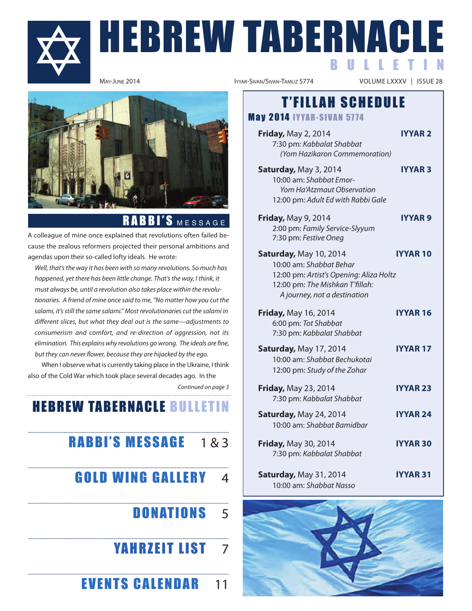

# **HEBREW TABERNACLE** B U L L E T I N



### RABBI'S MESSAGE

a colleague of mine once explained that revolutions often failed because the zealous reformers projected their personal ambitions and agendas upon their so-called lofty ideals. He wrote:

Well, that's the way it has been with so many revolutions. So much has happened, yet there has been little change. That's the way, I think, it must always be, until a revolution also takes place within the revolutionaries. A friend of mine once said to me, "No matter how you cut the salami, it's still the same salami." Most revolutionaries cut the salami in different slices, but what they deal out is the same—adjustments to consumerism and comfort, and re-direction of aggression, not its elimination. This explains why revolutions go wrong. The ideals are fine, but they can never flower, because they are hijacked by the ego.

When I observe what is currently taking place in the Ukraine, I think also of the Cold War which took place several decades ago. In the

Continued on page 3

### **HEBREW TABERNACLE BULLETIN**

### **RABBI'S MESSAGE**  $183$

**GOLD WING GALLERY** 4

### **DONATIONS** 5

- **YAHRZEIT LIST 7**
- **EVENTS CALENDAR** 11

VOLUME LXXXV | ISSUE 28

### **T'FILLAH SCHEDULE**

**May 2014 IYYAR-SIVAN 5774** 

- **Friday, May 2, 2014 iyyar 2** 7:30 pm: Kabbalat Shabbat (Yom Hazikaron Commemoration)
- **Saturday, May 3, 2014 <b>in Privary 3** 10:00 am: Shabbat Emor-Yom Ha'Atzmaut Observation 12:00 pm: Adult Ed with Rabbi Gale
- **Friday, May 9, 2014 iyyar 9** 2:00 pm: Family Service-Slyyum 7:30 pm: Festive Oneg
- **Saturday, May 10, 2014 <b>in IVYAR 10** 10:00 am: Shabbat Behar 12:00 pm: Artist's Opening: Aliza Holtz 12:00 pm: The Mishkan T'fillah: A journey, not a destination
- **Friday, May 16, 2014 <b>i**YYAR 16 6:00 pm: Tot Shabbat 7:30 pm: Kabbalat Shabbat
- **Saturday, May 17, 2014 <b>iyyar 17** 10:00 am: Shabbat Bechukotai 12:00 pm: Study of the Zohar
- **Friday, May 23, 2014 <b>i**YYAR 23 7:30 pm: Kabbalat Shabbat
- **Saturday, May 24, 2014 <b>iyyar 24** 10:00 am: Shabbat Bamidbar
- **Friday, May 30, 2014 <b>i**YYAR 30 7:30 pm: Kabbalat Shabbat
- **Saturday, May 31, 2014 <b>industrial IVYAR 31** 10:00 am: Shabbat Nasso

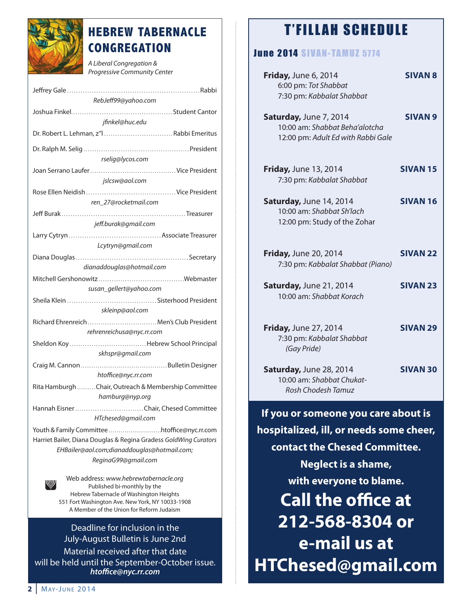

### **HEBREW TABERNACLE CONGREGATION**

A Liberal Congregation & Progressive Community Center

| RebJeff99@yahoo.com                                              |
|------------------------------------------------------------------|
|                                                                  |
| jfinkel@huc.edu                                                  |
| Dr. Robert L. Lehman, z"l  Rabbi Emeritus                        |
|                                                                  |
| rselig@lycos.com                                                 |
|                                                                  |
| jslcsw@aol.com                                                   |
|                                                                  |
| ren_27@rocketmail.com                                            |
|                                                                  |
| jeff.burak@gmail.com                                             |
|                                                                  |
| Lcytryn@gmail.com                                                |
|                                                                  |
| dianaddouglas@hotmail.com                                        |
|                                                                  |
| susan_gellert@yahoo.com                                          |
|                                                                  |
| skleinp@aol.com                                                  |
| Richard Ehrenreich  Men's Club President                         |
| rehrenreichusa@nyc.rr.com                                        |
|                                                                  |
| skhspr@gmail.com                                                 |
|                                                                  |
| htoffice@nyc.rr.com                                              |
| Rita Hamburgh Chair, Outreach & Membership Committee             |
| hamburg@nyp.org                                                  |
| Hannah Eisner Chair, Chesed Committee                            |
| HTchesed@gmail.com                                               |
| Youth & Family Committeehtoffice@nyc.rr.com                      |
| Harriet Bailer, Diana Douglas & Regina Gradess GoldWing Curators |
| EHBailer@aol.com;dianaddouglas@hotmail.com;                      |
| ReginaG99@gmail.com                                              |
|                                                                  |
| Web address: www.hebrewtabernacle.org<br>ww                      |

Published bi-monthly by the Hebrew Tabernacle of Washington Heights 551 Fort Washington Ave. New York, NY 10033-1908 A Member of the Union for Reform Judaism

Deadline for inclusion in the July-august Bulletin is June 2nd Material received after that date will be held until the September-October issue. *htoffice@nyc.rr.com*

### **T'FILLAH SCHEDULE**

#### **June 2014 SIVAN-TAMUZ 5774**

| Friday, June 6, 2014<br>6:00 pm: Tot Shabbat<br>7:30 pm: Kabbalat Shabbat                      | <b>SIVAN 8</b>  |
|------------------------------------------------------------------------------------------------|-----------------|
| Saturday, June 7, 2014<br>10:00 am: Shabbat Beha'alotcha<br>12:00 pm: Adult Ed with Rabbi Gale | <b>SIVAN 9</b>  |
| <b>Friday, June 13, 2014</b><br>7:30 pm: Kabbalat Shabbat                                      | <b>SIVAN 15</b> |
| Saturday, June 14, 2014<br>10:00 am: Shabbat Sh'lach<br>12:00 pm: Study of the Zohar           | <b>SIVAN 16</b> |
| <b>Friday, June 20, 2014</b><br>7:30 pm: Kabbalat Shabbat (Piano)                              | <b>SIVAN 22</b> |
| Saturday, June 21, 2014<br>10:00 am: Shabbat Korach                                            | <b>SIVAN 23</b> |
| <b>Friday, June 27, 2014</b><br>7:30 pm: Kabbalat Shabbat<br>(Gay Pride)                       | <b>SIVAN 29</b> |
| Saturday, June 28, 2014<br>10:00 am: Shabbat Chukat-<br>Rosh Chodesh Tamuz                     | <b>SIVAN 30</b> |
|                                                                                                |                 |

**if you or someone you care about is hospitalized, ill, or needs some cheer, contact the Chesed Committee. Neglect is a shame, with everyone to blame. Call the office at 212-568-8304 or e-mail us at HTChesed@gmail.com**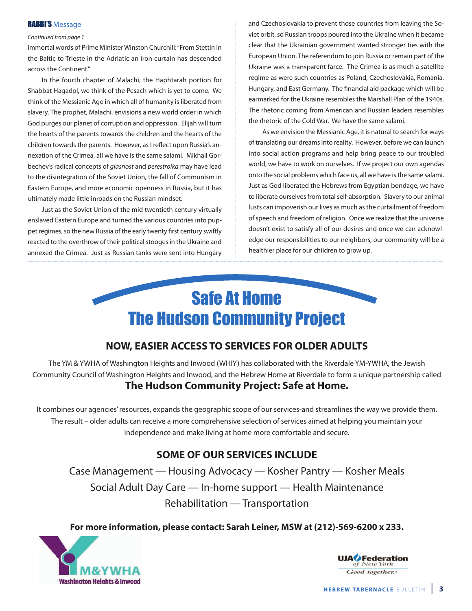#### RABBI'S Message

#### Continued from page 1

immortal words of Prime Minister Winston Churchill: "From Stettin in the Baltic to Trieste in the Adriatic an iron curtain has descended across the Continent."

In the fourth chapter of Malachi, the Haphtarah portion for Shabbat Hagadol, we think of the Pesach which is yet to come. We think of the Messianic Age in which all of humanity is liberated from slavery. The prophet, Malachi, envisions a new world order in which God purges our planet of corruption and oppression. Elijah will turn the hearts of the parents towards the children and the hearts of the children towards the parents. However, as I reflect upon Russia's annexation of the Crimea, all we have is the same salami. Mikhail Gorbechev's radical concepts of glasnost and perestroika may have lead to the disintegration of the Soviet Union, the fall of Communism in Eastern Europe, and more economic openness in Russia, but it has ultimately made little inroads on the Russian mindset.

Just as the Soviet Union of the mid twentieth century virtually enslaved Eastern Europe and turned the various countries into puppet regimes, so the new Russia of the early twenty first century swiftly reacted to the overthrow of their political stooges in the Ukraine and annexed the Crimea. Just as Russian tanks were sent into Hungary

and Czechoslovakia to prevent those countries from leaving the Soviet orbit, so Russian troops poured into the Ukraine when it became clear that the Ukrainian government wanted stronger ties with the European Union. The referendum to join Russia or remain part of the ukraine was a transparent farce. The Crimea is as much a satellite regime as were such countries as Poland, Czechoslovakia, Romania, Hungary, and East Germany. The financial aid package which will be earmarked for the Ukraine resembles the Marshall Plan of the 1940s. The rhetoric coming from American and Russian leaders resembles the rhetoric of the Cold War. We have the same salami.

As we envision the Messianic Age, it is natural to search for ways of translating our dreams into reality. However, before we can launch into social action programs and help bring peace to our troubled world, we have to work on ourselves. If we project our own agendas onto the social problems which face us, all we have is the same salami. Just as God liberated the Hebrews from Egyptian bondage, we have to liberate ourselves from total self-absorption. Slavery to our animal lusts can impoverish our lives as much as the curtailment of freedom of speech and freedom of religion. Once we realize that the universe doesn't exist to satisfy all of our desires and once we can acknowledge our responsibilities to our neighbors, our community will be a healthier place for our children to grow up.



#### **NOW, EaSiEr aCCESS TO SErviCES FOr OLDEr aDULTS**

The yM & yWHa of Washington Heights and Inwood (WHIy) has collaborated with the riverdale yM-yWHa, the Jewish Community Council of Washington Heights and Inwood, and the Hebrew Home at riverdale to form a unique partnership called **The Hudson Community Project: Safe at Home.**

It combines our agencies' resources, expands the geographic scope of our services-and streamlines the way we provide them. The result – older adults can receive a more comprehensive selection of services aimed at helping you maintain your independence and make living at home more comfortable and secure.

#### **SOME OF OUr SErviCES iNCLUDE**

Case Management — Housing advocacy — Kosher Pantry — Kosher Meals Social Adult Day Care — In-home support — Health Maintenance Rehabilitation — Transportation

**For more information, please contact: Sarah Leiner, MSW at (212)-569-6200 x 233.**



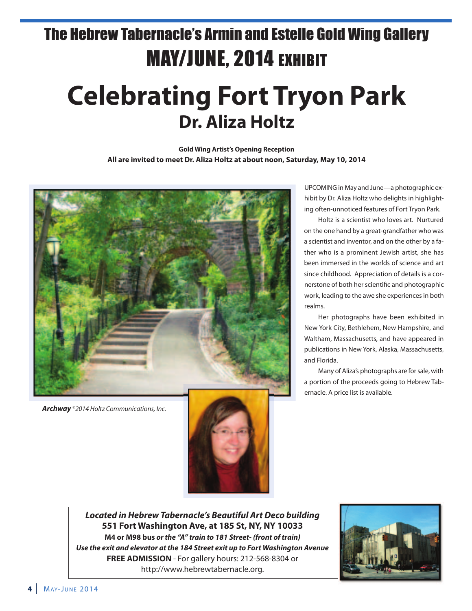## The Hebrew Tabernacle's Armin and Estelle Gold Wing Gallery MAY/JUNE, 2014 EXHIBIT

# **Celebrating Fort Tryon Park Dr. aliza Holtz**

**Gold Wing Artist's Opening Reception all are invited to meet Dr. aliza Holtz at about noon, Saturday, May 10, 2014**



*Archway* ©2014 Holtz Communications, Inc.



uPCoMInG in May and June—a photographic exhibit by Dr. Aliza Holtz who delights in highlighting often-unnoticed features of Fort Tryon Park.

Holtz is a scientist who loves art. Nurtured on the one hand by a great-grandfather who was a scientist and inventor, and on the other by a father who is a prominent Jewish artist, she has been immersed in the worlds of science and art since childhood. Appreciation of details is a cornerstone of both her scientific and photographic work, leading to the awe she experiences in both realms.

Her photographs have been exhibited in new york City, Bethlehem, new Hampshire, and Waltham, Massachusetts, and have appeared in publications in new york, alaska, Massachusetts, and Florida.

Many of Aliza's photographs are for sale, with a portion of the proceeds going to Hebrew Tabernacle. A price list is available.

*Located in Hebrew Tabernacle's Beautiful Art Deco building* **551 Fort Washington ave, at 185 St, Ny, Ny 10033 M4 or M98 bus** *or the "A" train to 181 Street- (front of train) Use the exit and elevator at the 184 Street exit up to Fort Washington Avenue* **FrEE aDMiSSiON** - For gallery hours: 212-568-8304 or http://www.hebrewtabernacle.org.

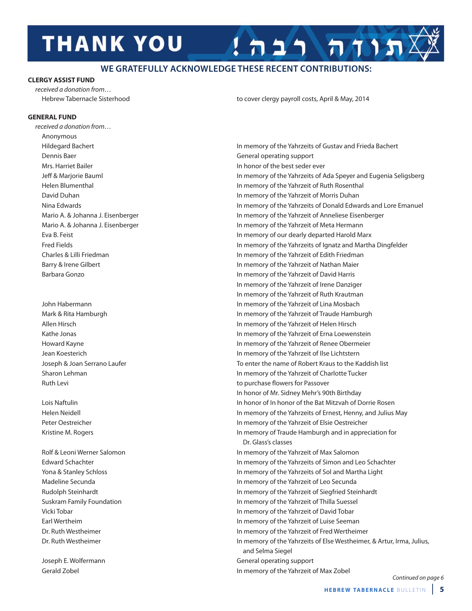# **THANK YOU**

#### **WE GRATEFULLY ACKNOWLEDGE THESE RECENT CONTRIBUTIONS:**

#### **CLErGy aSSiST FUND**

received a donation from…

#### **GENEraL FUND**

received a donation from… anonymous Dennis Baer General operating support Mrs. Harriet Bailer **In honor of the best seder ever In honor of the best seder ever** 

Hebrew Tabernacle Sisterhood to cover clergy payroll costs, April & May, 2014

תודה רבה!

Hildegard Bachert In memory of the yahrzeits of Gustav and Frieda Bachert Jeff & Marjorie Bauml In memory of the yahrzeits of ada Speyer and eugenia Seligsberg Helen Blumenthal **In memory of the Yahrzeit of Ruth Rosenthal** In memory of the Yahrzeit of Ruth Rosenthal David Duhan In memory of the yahrzeit of Morris Duhan Nina Edwards **In memory of the Yahrzeits of Donald Edwards and Lore Emanuel** Mario A. & Johanna J. Eisenberger **In memory of the Yahrzeit of Anneliese Eisenberger** In memory of the Yahrzeit of Anneliese Eisenberger Mario A. & Johanna J. Eisenberger **In memory of the Yahrzeit of Meta Hermann** eva B. Feist In memory of our dearly departed Harold Marx Fred Fields In memory of the yahrzeits of Ignatz and Martha Dingfelder Charles & lilli Friedman In memory of the yahrzeit of edith Friedman Barry & Irene Gilbert **In memory of the Yahrzeit of Nathan Maier** In memory of the Yahrzeit of Nathan Maier Barbara Gonzo In memory of the yahrzeit of David Harris In memory of the Yahrzeit of Irene Danziger In memory of the Yahrzeit of Ruth Krautman John Habermann **In memory of the Yahrzeit of Lina Mosbach** Mark & Rita Hamburgh **In memory of the Yahrzeit of Traude Hamburgh** In memory of the Yahrzeit of Traude Hamburgh allen Hirsch In memory of the yahrzeit of Helen Hirsch Kathe Jonas **In memory of the Yahrzeit of Erna Loewenstein In memory of the Yahrzeit of Erna Loewenstein** Howard Kayne **In memory of the Yahrzeit of Renee Obermeier** In memory of the Yahrzeit of Renee Obermeier Jean Koesterich In memory of the yahrzeit of Ilse lichtstern Joseph & Joan Serrano laufer To enter the name of robert Kraus to the Kaddish list Sharon Lehman **In memory of the Yahrzeit of Charlotte Tucker** In memory of the Yahrzeit of Charlotte Tucker ruth levi to purchase flowers for Passover In honor of Mr. Sidney Mehr's 90th Birthday Lois Naftulin **In honor of In honor of the Bat Mitzvah of Dorrie Rosen** Helen Neidell **In memory of the Yahrzeits of Ernest, Henny, and Julius May** In memory of the Yahrzeits of Ernest, Henny, and Julius May Peter oestreicher In memory of the yahrzeit of elsie oestreicher Kristine M. Rogers **In memory of Traude Hamburgh and in appreciation for** In memory of Traude Hamburgh and in appreciation for Dr. Glass's classes Rolf & Leoni Werner Salomon **In memory of the Yahrzeit of Max Salomon** In memory of the Yahrzeit of Max Salomon Edward Schachter **In memory of the Yahrzeits of Simon and Leo Schachter** In memory of the Yahrzeits of Simon and Leo Schachter yona & Stanley Schloss In memory of the yahrzeits of Sol and Martha light Madeline Secunda **In memory of the Yahrzeit of Leo Secunda** In memory of the Yahrzeit of Leo Secunda rudolph Steinhardt In memory of the yahrzeit of Siegfried Steinhardt Suskram Family Foundation In memory of the yahrzeit of Thilla Suessel vicki Tobar In memory of the yahrzeit of David Tobar earl Wertheim In memory of the yahrzeit of luise Seeman Dr. Ruth Westheimer **In memory of the Yahrzeit of Fred Wertheimer** In memory of the Yahrzeit of Fred Wertheimer Dr. Ruth Westheimer **In memory of the Yahrzeits of Else Westheimer**, & Artur, Irma, Julius, and Selma Siegel Joseph e. Wolfermann General operating support Gerald zobel In memory of the yahrzeit of Max zobel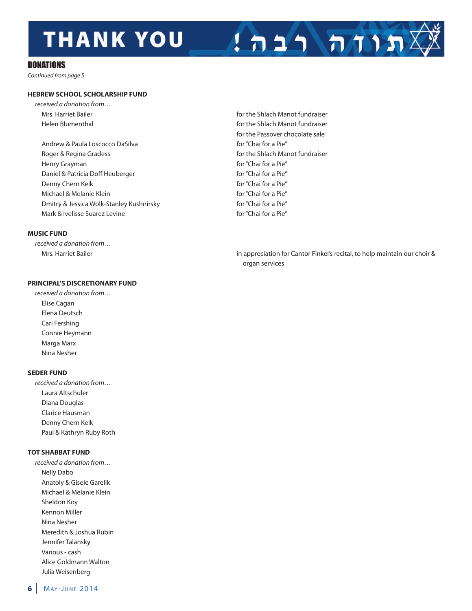# **THANK YOU**

#### **DONATIONS**

Continued from page 5

#### **HEbrEW SCHOOL SCHOLarSHiP FUND**

- received a donation from… Mrs. Harriet Bailer **for the Shlach Manot fundraiser** for the Shlach Manot fundraiser
	- Andrew & Paula Loscocco DaSilva do a control of the for "Chai for a Pie" Roger & Regina Gradess **for the Shlach Manot fundraiser** for the Shlach Manot fundraiser Henry Grayman for "Chai for a Pie" Daniel & Patricia Doff Heuberger for "Chai for a Pie" Denny Chern Kelk **For the Chair Chair Chai for a Pie** For "Chai for a Pie" Michael & Melanie Klein for "Chai for a Pie" Dmitry & Jessica Wolk-Stanley Kushnirsky for "Chai for a Pie" Mark & Ivelisse Suarez Levine for "Chai for a Pie"

#### **MUSiC FUND**

received a donation from…

#### **PriNCiPaL'S DiSCrETiONary FUND**

received a donation from… **Elise Cagan** Elena Deutsch Cari Fershing Connie Heymann Marga Marx Nina Nesher

#### **SEDEr FUND**

received a donation from… Laura Altschuler Diana Douglas Clarice Hausman Denny Chern Kelk Paul & Kathryn Ruby Roth

#### **TOT SHabbaT FUND**

received a donation from… nelly Dabo anatoly & Gisele Garelik Michael & Melanie Klein Sheldon Koy Kennon Miller Nina Nesher Meredith & Joshua Rubin Jennifer Talansky various - cash alice Goldmann Walton Julia Weisenberg

- Helen Blumenthal **For the Shach Manot fundraiser** for the Shlach Manot fundraiser for the Passover chocolate sale
- Mrs. Harriet Bailer in appreciation for Cantor Finkel's recital, to help maintain our choir & organ services

 $172777777$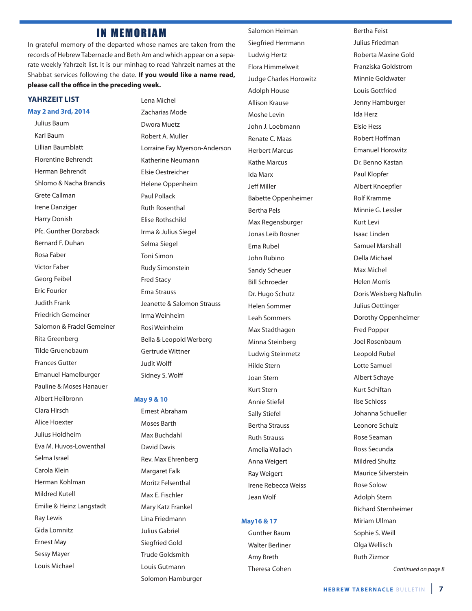#### **IN MEMORIAM**

In grateful memory of the departed whose names are taken from the records of Hebrew Tabernacle and Beth Am and which appear on a separate weekly Yahrzeit list. It is our minhag to read Yahrzeit names at the Shabbat services following the date. **if you would like a name read, please call the office in the preceding week.**

#### **yaHrzEiT LiST**

#### **May 2 and 3rd, 2014** Julius Baum

Karl Baum lillian Baumblatt Florentine Behrendt Herman Behrendt Shlomo & Nacha Brandis Grete Callman Irene Danziger Harry Donish Pfc. Gunther Dorzback Bernard F. Duhan Rosa Faber victor Faber Georg Feibel **Eric Fourier** Judith Frank Friedrich Gemeiner Salomon & Fradel Gemeiner Rita Greenberg Tilde Gruenebaum Frances Gutter emanuel Hamelburger Pauline & Moses Hanauer albert Heilbronn Clara Hirsch alice Hoexter Julius Holdheim Eva M. Huvos-Lowenthal Selma Israel Carola Klein Herman Kohlman Mildred Kutell Emilie & Heinz Langstadt **Ray Lewis** Gida lomnitz **Ernest May** Sessy Mayer louis Michael

lena Michel zacharias Mode Dwora Muetz Robert A. Muller Lorraine Fay Myerson-Anderson Katherine Neumann elsie oestreicher Helene oppenheim Paul Pollack **Ruth Rosenthal** Elise Rothschild Irma & Julius Siegel Selma Siegel Toni Simon **Rudy Simonstein** Fred Stacy erna Strauss Jeanette & Salomon Strauss Irma Weinheim Rosi Weinheim Bella & leopold Werberg Gertrude Wittner Judit Wolff Sidney S. Wolff

#### **May 9 & 10**

ernest abraham Moses Barth Max Buchdahl David Davis Rev. Max Ehrenberg Margaret Falk Moritz Felsenthal Max E. Fischler Mary Katz Frankel lina Friedmann Julius Gabriel Siegfried Gold Trude Goldsmith louis Gutmann Solomon Hamburger Salomon Heiman Siegfried Herrmann ludwig Hertz Flora Himmelweit Judge Charles Horowitz adolph House allison Krause Moshe levin John J. loebmann Renate C. Maas Herbert Marcus Kathe Marcus Ida Marx Jeff Miller Babette oppenheimer Bertha Pels Max Regensburger Jonas Leib Rosner Erna Rubel John Rubino Sandy Scheuer Bill Schroeder Dr. Hugo Schutz Helen Sommer leah Sommers Max Stadthagen Minna Steinberg ludwig Steinmetz Hilde Stern Joan Stern Kurt Stern annie Stiefel Sally Stiefel Bertha Strauss **Ruth Strauss** amelia Wallach anna Weigert **Ray Weigert** Irene Rebecca Weiss Jean Wolf

#### **May16 & 17**

Gunther Baum Walter Berliner amy Breth Theresa Cohen Bertha Feist Julius Friedman Roberta Maxine Gold Franziska Goldstrom Minnie Goldwater louis Gottfried Jenny Hamburger Ida Herz elsie Hess Robert Hoffman **Emanuel Horowitz** Dr. Benno Kastan Paul Klopfer albert Knoepfler **Rolf Kramme** Minnie G. lessler Kurt levi Isaac linden Samuel Marshall Della Michael Max Michel Helen Morris Doris Weisberg Naftulin Julius Oettinger Dorothy oppenheimer Fred Popper Joel Rosenbaum Leopold Rubel lotte Samuel albert Schaye Kurt Schiftan Ilse Schloss Johanna Schueller leonore Schulz Rose Seaman Ross Secunda Mildred Shultz Maurice Silverstein **Rose Solow** adolph Stern **Richard Sternheimer** Miriam Ullman Sophie S. Weill olga Wellisch **Ruth Zizmor** 

Continued on page 8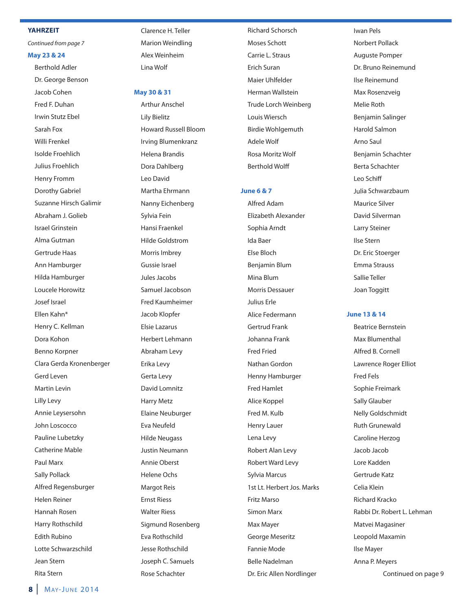#### **yaHrzEiT**

Continued from page 7

#### **May 23 & 24**

Berthold adler Dr. George Benson Jacob Cohen Fred F. Duhan Irwin Stutz Fbel Sarah Fox Willi Frenkel Isolde Froehlich Julius Froehlich Henry Fromm Dorothy Gabriel Suzanne Hirsch Galimir abraham J. Golieb Israel Grinstein alma Gutman Gertrude Haas ann Hamburger Hilda Hamburger loucele Horowitz Josef Israel ellen Kahn\* Henry C. Kellman Dora Kohon Benno Korpner Clara Gerda Kronenberger Gerd leven Martin levin lilly levy annie leysersohn John loscocco Pauline lubetzky Catherine Mable Paul Marx Sally Pollack Alfred Regensburger Helen Reiner Hannah Rosen Harry Rothschild **Edith Rubino** lotte Schwarzschild Jean Stern Rita Stern

Clarence H. Teller Marion Weindling alex Weinheim lina Wolf

#### **May 30 & 31**

**Arthur Anschel** lily Bielitz Howard Russell Bloom Irving Blumenkranz Helena Brandis Dora Dahlberg leo David Martha ehrmann Nanny Eichenberg Sylvia Fein Hansi Fraenkel Hilde Goldstrom Morris Imbrey Gussie Israel Jules Jacobs Samuel Jacobson Fred Kaumheimer Jacob Klopfer Elsie Lazarus Herbert lehmann abraham levy Erika Levy Gerta levy David lomnitz Harry Metz **Elaine Neuburger** Eva Neufeld **Hilde Neugass** Justin Neumann annie oberst Helene ochs Margot Reis **Ernst Riess** Walter Riess Sigmund Rosenberg Eva Rothschild Jesse Rothschild Joseph C. Samuels Rose Schachter

**Richard Schorsch** Moses Schott Carrie L. Straus **Erich Suran** Maier uhlfelder Herman Wallstein Trude lorch Weinberg louis Wiersch Birdie Wohlgemuth adele Wolf rosa Moritz Wolf Berthold Wolff

#### **June 6 & 7**

Alfred Adam elizabeth alexander Sophia Arndt Ida Baer Else Bloch Benjamin Blum Mina Blum Morris Dessauer Julius erle alice Federmann Gertrud Frank Johanna Frank Fred Fried Nathan Gordon Henny Hamburger Fred Hamlet alice Koppel Fred M. Kulb Henry lauer lena levy Robert Alan Levy Robert Ward Levy Sylvia Marcus 1st lt. Herbert Jos. Marks Fritz Marso Simon Marx Max Mayer George Meseritz Fannie Mode Belle Nadelman Dr. Eric Allen Nordlinger

Iwan Pels **Norbert Pollack** auguste Pomper Dr. Bruno Reinemund Ilse Reinemund Max Rosenzveig Melie Roth Benjamin Salinger Harold Salmon arno Saul Benjamin Schachter Berta Schachter leo Schiff Julia Schwarzbaum Maurice Silver David Silverman larry Steiner Ilse Stern Dr. Eric Stoerger **Emma Strauss** Sallie Teller Joan Toggitt

#### **June 13 & 14**

Beatrice Bernstein Max Blumenthal alfred B. Cornell Lawrence Roger Elliot Fred Fels Sophie Freimark Sally Glauber **Nelly Goldschmidt Ruth Grunewald** Caroline Herzog Jacob Jacob lore Kadden Gertrude Katz Celia Klein **Richard Kracko** Rabbi Dr. Robert L. Lehman Matvei Magasiner leopold Maxamin Ilse Mayer Anna P. Meyers Continued on page 9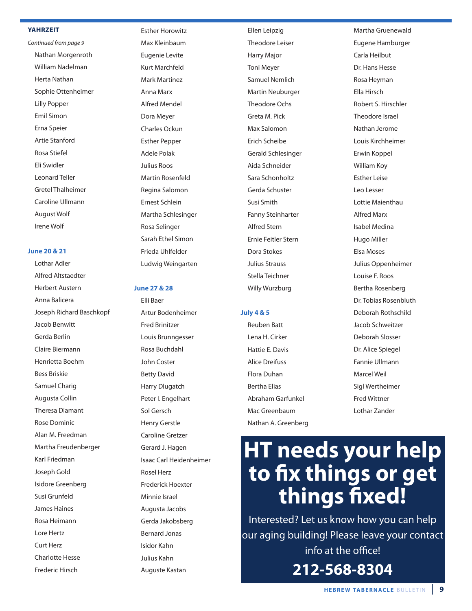#### **yaHrzEiT**

Continued from page 9 Nathan Morgenroth William Nadelman Herta Nathan Sophie ottenheimer lilly Popper emil Simon Erna Speier Artie Stanford Rosa Stiefel eli Swidler leonard Teller Gretel Thalheimer Caroline Ullmann **August Wolf** Irene Wolf

#### **June 20 & 21**

Lothar Adler alfred altstaedter Herbert Austern anna Balicera Joseph Richard Baschkopf Jacob Benwitt Gerda Berlin Claire Biermann Henrietta Boehm Bess Briskie Samuel Charig augusta Collin Theresa Diamant **Rose Dominic** alan M. Freedman Martha Freudenberger Karl Friedman Joseph Gold Isidore Greenberg Susi Grunfeld James Haines Rosa Heimann lore Hertz Curt Herz Charlotte Hesse Frederic Hirsch

**Esther Horowitz** Max Kleinbaum Eugenie Levite Kurt Marchfeld Mark Martinez anna Marx alfred Mendel Dora Meyer Charles ockun **Esther Pepper** adele Polak Julius Roos Martin Rosenfeld Regina Salomon Ernest Schlein Martha Schlesinger Rosa Selinger Sarah Ethel Simon Frieda uhlfelder ludwig Weingarten

#### **June 27 & 28**

elli Baer artur Bodenheimer Fred Brinitzer louis Brunngesser Rosa Buchdahl John Coster Betty David Harry Dlugatch Peter I. Engelhart Sol Gersch Henry Gerstle Caroline Gretzer Gerard J. Hagen Isaac Carl Heidenheimer Rosel Herz Frederick Hoexter Minnie Israel augusta Jacobs Gerda Jakobsberg Bernard Jonas Isidor Kahn Julius Kahn auguste Kastan

Ellen Leipzig Theodore leiser Harry Major Toni Meyer Samuel Nemlich Martin Neuburger **Theodore Ochs** Greta M. Pick Max Salomon Erich Scheibe Gerald Schlesinger aida Schneider Sara Schonholtz Gerda Schuster Susi Smith Fanny Steinharter alfred Stern Ernie Feitler Stern Dora Stokes Julius Strauss Stella Teichner Willy Wurzburg

#### **July 4 & 5**

**Reuben Batt** lena H. Cirker Hattie E. Davis alice Dreifuss Flora Duhan **Bertha Elias** abraham Garfunkel Mac Greenbaum Nathan A. Greenberg

Martha Gruenewald Eugene Hamburger Carla Heilbut Dr. Hans Hesse Rosa Heyman ella Hirsch robert S. Hirschler Theodore Israel Nathan Jerome louis Kirchheimer **Erwin Koppel** William Koy **Esther Leise** leo lesser lottie Maienthau alfred Marx Isabel Medina Hugo Miller elsa Moses Julius oppenheimer Louise F. Roos Bertha Rosenberg Dr. Tobias Rosenbluth Deborah Rothschild Jacob Schweitzer Deborah Slosser Dr. Alice Spiegel Fannie Ullmann Marcel Weil Sigl Wertheimer Fred Wittner lothar zander

# **HT needs your help to fix things or get things fixed!**

Interested? let us know how you can help our aging building! Please leave your contact info at the office! **212-568-8304**

**HEBREW TABERNACLE BULLETIN | 9**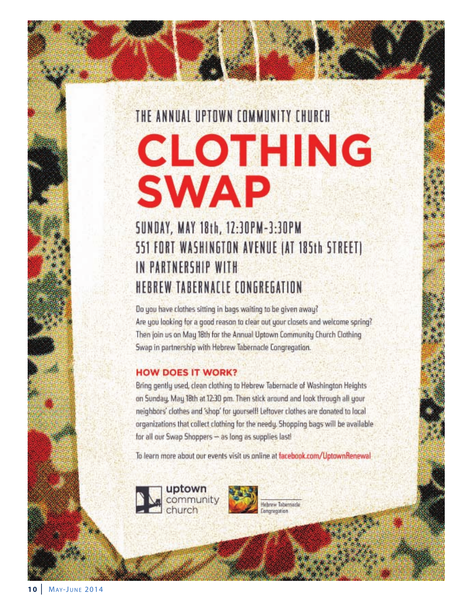### THE ANNUAL UPTOWN COMMUNITY CHURCH

# **CLOTHING SWAP**

### SUNDAY, MAY 18th, 12:30PM-3:30PM 551 FORT WASHINGTON AVENUE (AT 185th STREET) IN PARTNERSHIP WITH HEBREW TABERNACLE CONGREGATION

Do you have clothes sitting in bags waiting to be given away? Are you looking for a good reason to clear out your closets and welcome spring? Then join us on May 18th for the Annual Uptown Community Church Clothing Swap in partnership with Hebrew Tabernacle Congregation.

#### **HOW DOES IT WORK?**

Bring gently used, clean clothing to Hebrew Tabernacle of Washington Heights on Sunday, May 18th at 12:30 pm. Then stick around and look through all your neighbors' clothes and 'shop' for yourself! Leftover clothes are donated to local organizations that collect clothing for the needy. Shopping bags will be available for all our Swap Shoppers - as long as supplies last!

To learn more about our events visit us online at facebook.com/UptownRenewal



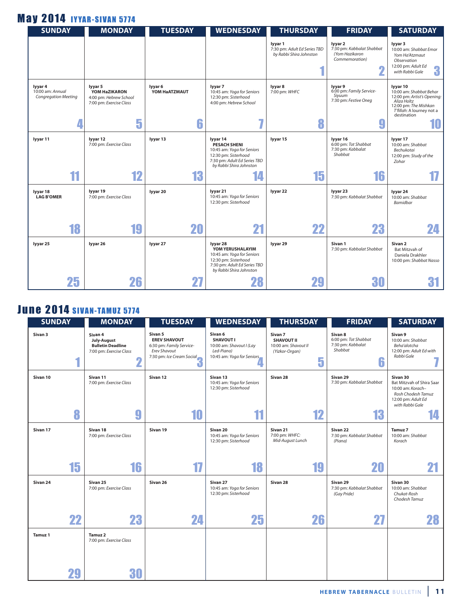### **May 2014 IYYAR-SIVAN 5774**

| <b>SUNDAY</b>                                              | <b>MONDAY</b>                                                                      | <b>TUESDAY</b>                | <b>WEDNESDAY</b>                                                                                                                                 | <b>THURSDAY</b>                                                    | <b>FRIDAY</b>                                                                 | <b>SATURDAY</b>                                                                                                                                              |
|------------------------------------------------------------|------------------------------------------------------------------------------------|-------------------------------|--------------------------------------------------------------------------------------------------------------------------------------------------|--------------------------------------------------------------------|-------------------------------------------------------------------------------|--------------------------------------------------------------------------------------------------------------------------------------------------------------|
|                                                            |                                                                                    |                               |                                                                                                                                                  | lyyar 1<br>7:30 pm: Adult Ed Series TBD<br>by Rabbi Shira Johnston | lyyar 2<br>7:30 pm: Kabbalat Shabbat<br>(Yom Hazikaron<br>Commemoration)<br>G | lyyar 3<br>10:00 am: Shabbat Emor<br>Yom Ha'Atzmaut<br>Observation<br>12:00 pm: Adult Ed<br>3<br>with Rabbi Gale                                             |
| lyyar 4<br>10:00 am: Annual<br><b>Congregation Meeting</b> | lyyar 5<br>YOM HaZIKARON<br>4:00 pm: Hebrew School<br>7:00 pm: Exercise Class<br>5 | lyyar 6<br>YOM HaATZMAUT<br>6 | lyyar 7<br>10:45 am: Yoga for Seniors<br>12:30 pm: Sisterhood<br>4:00 pm: Hebrew School<br>7                                                     | lyyar 8<br>7:00 pm: WHFC<br>8                                      | lyyar 9<br>6:00 pm: Family Service-<br>Siyuum<br>7:30 pm: Festive Oneg        | lyyar 10<br>10:00 am: Shabbat Behar<br>12:00 pm: Artist's Opening:<br>Aliza Holtz<br>12:00 pm: The Mishkan<br>T'fillah: A lourney not a<br>destination<br>10 |
|                                                            |                                                                                    |                               |                                                                                                                                                  |                                                                    |                                                                               |                                                                                                                                                              |
| lyyar 11                                                   | lyyar 12<br>7:00 pm: Exercise Class                                                | lyyar 13                      | lyyar 14<br><b>PESACH SHENI</b><br>10:45 am: Yoga for Seniors<br>12:30 pm: Sisterhood<br>7:30 pm: Adult Ed Series TBD<br>by Rabbi Shira Johnston | lyyar 15                                                           | lyyar 16<br>6:00 pm: Tot Shabbat<br>7:30 pm: Kabbalat<br>Shabbat              | lyyar 17<br>10:00 am: Shabbat<br>Bechukotai<br>12:00 pm: Study of the<br>Zohar                                                                               |
| 11                                                         | 12                                                                                 | 13                            | 14                                                                                                                                               | 15                                                                 | 16                                                                            |                                                                                                                                                              |
| lyyar 18<br><b>LAG B'OMER</b>                              | lyyar 19<br>7:00 pm: Exercise Class                                                | lyyar 20                      | lyyar 21<br>10:45 am: Yoga for Seniors<br>12:30 pm: Sisterhood                                                                                   | lyyar 22                                                           | lyyar 23<br>7:30 pm: Kabbalat Shabbat                                         | lyyar 24<br>10:00 am: Shabbat<br>Bamidbar                                                                                                                    |
| 18                                                         | 19                                                                                 | 20                            | 21                                                                                                                                               | 22                                                                 | 23                                                                            | 24                                                                                                                                                           |
| lyyar 25                                                   | lyyar 26                                                                           | lyyar 27                      | lyyar 28<br>YOM YERUSHALAYIM<br>10:45 am: Yoga for Seniors<br>12:30 pm: Sisterhood<br>7:30 pm: Adult Ed Series TBD<br>by Rabbi Shira Johnston    | lyyar 29                                                           | Sivan 1<br>7:30 pm: Kabbalat Shabbat                                          | Sivan <sub>2</sub><br>Bat Mitzvah of<br>Daniela Drakhler<br>10:00 pm: Shabbat Nasso                                                                          |
| 25                                                         | 26                                                                                 |                               |                                                                                                                                                  | 29                                                                 | 30                                                                            |                                                                                                                                                              |

### **June 2014 SIVAN-TAMUZ 5774**

| <b>SUNDAY</b>  | <b>MONDAY</b>                                                                             | <b>TUESDAY</b>                                                                                                      | <b>WEDNESDAY</b>                                                                                    | <b>THURSDAY</b>                                                             | <b>FRIDAY</b>                                                        | <b>SATURDAY</b>                                                                                                           |
|----------------|-------------------------------------------------------------------------------------------|---------------------------------------------------------------------------------------------------------------------|-----------------------------------------------------------------------------------------------------|-----------------------------------------------------------------------------|----------------------------------------------------------------------|---------------------------------------------------------------------------------------------------------------------------|
| Sivan 3        | Sivan 4<br><b>July-August</b><br><b>Bulletin Deadline</b><br>7:00 pm: Exercise Class<br>n | Sivan 5<br><b>EREV SHAVOUT</b><br>6:30 pm: Family Service-<br><b>Erev Shavout</b><br>7:30 pm: Ice Cream Social<br>đ | Sivan 6<br><b>SHAVOUT I</b><br>10:00 am: Shavout I (Lay<br>Led-Piano)<br>10:45 am: Yoga for Seniors | Sivan 7<br><b>SHAVOUT II</b><br>10:00 am: Shavout II<br>(Yizkor-Organ)<br>5 | Sivan 8<br>6:00 pm: Tot Shabbat<br>7:30 pm: Kabbalat<br>Shabbat<br>6 | Sivan 9<br>10:00 am: Shabbat<br>Beha'alotcha<br>12:00 pm: Adult Ed with<br>Rabbi Gale                                     |
| Sivan 10       | Sivan 11<br>7:00 pm: Exercise Class                                                       | Sivan 12                                                                                                            | Sivan 13<br>10:45 am: Yoga for Seniors<br>12:30 pm: Sisterhood                                      | Sivan 28                                                                    | Sivan 29<br>7:30 pm: Kabbalat Shabbat                                | Sivan 30<br>Bat Mitzvah of Shira Saar<br>10:00 am: Korach-<br>Rosh Chodesh Tamuz<br>12:00 pm: Adult Ed<br>with Rabbi Gale |
| 8              | 9                                                                                         | 10                                                                                                                  | 11                                                                                                  | 12                                                                          | 13                                                                   |                                                                                                                           |
| Sivan 17       | Sivan 18<br>7:00 pm: Exercise Class                                                       | Sivan 19                                                                                                            | Sivan 20<br>10:45 am: Yoga for Seniors<br>12:30 pm: Sisterhood                                      | Sivan 21<br>7:00 pm: WHFC:<br>Mid-August Lunch                              | Sivan 22<br>7:30 pm: Kabbalat Shabbat<br>(Piana)                     | Tamuz 7<br>10:00 am: Shabbat<br>Korach                                                                                    |
| 15             | 16                                                                                        |                                                                                                                     | 18                                                                                                  | 19                                                                          | 20                                                                   |                                                                                                                           |
| Sivan 24       | Sivan 25<br>7:00 pm: Exercise Class                                                       | Sivan 26                                                                                                            | Sivan 27<br>10:45 am: Yoga for Seniors<br>12:30 pm: Sisterhood                                      | Sivan 28                                                                    | Sivan 29<br>7:30 pm: Kabbalat Shabbat<br>(Gay Pride)                 | Sivan 30<br>10:00 am: Shabbat<br>Chukat-Rosh<br>Chodesh Tamuz                                                             |
| 22             | 23                                                                                        | 24                                                                                                                  | 25                                                                                                  | 26                                                                          | 27                                                                   | 28                                                                                                                        |
| <b>Tamuz 1</b> | Tamuz 2<br>7:00 pm: Exercise Class                                                        |                                                                                                                     |                                                                                                     |                                                                             |                                                                      |                                                                                                                           |
| 29             | 30                                                                                        |                                                                                                                     |                                                                                                     |                                                                             |                                                                      |                                                                                                                           |